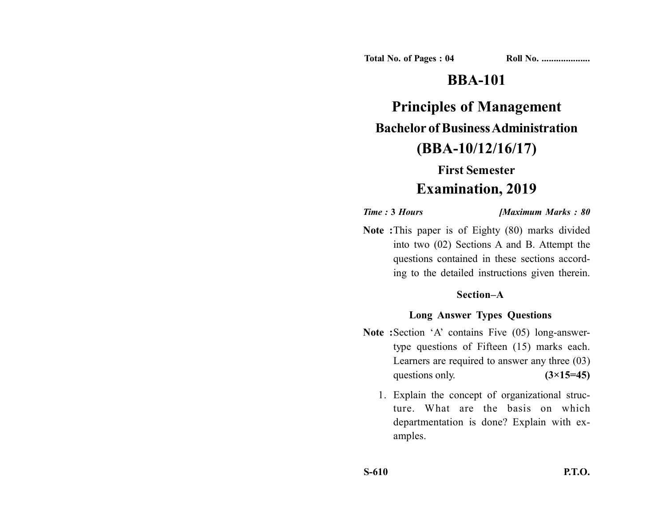**Total No. of Pages : 04 Roll No. ...................** 

# **BBA-101**

**Principles of Management Bachelor of Business Administration (BBA-10/12/16/17)**

# **First Semester**

## **Examination, 2019**

*Time :* **3** *Hours [Maximum Marks : 80*

**Note :**This paper is of Eighty (80) marks divided into two (02) Sections A and B. Attempt the questions contained in these sections according to the detailed instructions given therein.

### **Section–A**

### **Long Answer Types Questions**

- Note :Section 'A' contains Five (05) long-answertype questions of Fifteen (15) marks each. Learners are required to answer any three (03) questions only.  $(3\times15=45)$ 
	- 1. Explain the concept of organizational structure. What are the basis on which departmentation is done? Explain with examples.